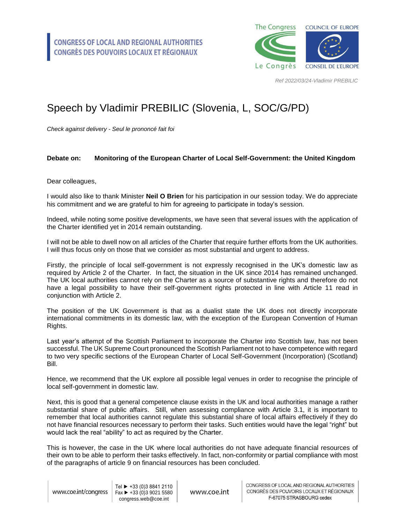

*Ref 2022/03/24-Vladimir PREBILIC*

## Speech by Vladimir PREBILIC (Slovenia, L, SOC/G/PD)

*Check against delivery - Seul le prononcé fait foi*

## **Debate on: Monitoring of the European Charter of Local Self-Government: the United Kingdom**

Dear colleagues,

I would also like to thank Minister **Neil O Brien** for his participation in our session today. We do appreciate his commitment and we are grateful to him for agreeing to participate in today's session.

Indeed, while noting some positive developments, we have seen that several issues with the application of the Charter identified yet in 2014 remain outstanding.

I will not be able to dwell now on all articles of the Charter that require further efforts from the UK authorities. I will thus focus only on those that we consider as most substantial and urgent to address.

Firstly, the principle of local self-government is not expressly recognised in the UK's domestic law as required by Article 2 of the Charter. In fact, the situation in the UK since 2014 has remained unchanged. The UK local authorities cannot rely on the Charter as a source of substantive rights and therefore do not have a legal possibility to have their self-government rights protected in line with Article 11 read in conjunction with Article 2.

The position of the UK Government is that as a dualist state the UK does not directly incorporate international commitments in its domestic law, with the exception of the European Convention of Human Rights.

Last year's attempt of the Scottish Parliament to incorporate the Charter into Scottish law, has not been successful. The UK Supreme Court pronounced the Scottish Parliament not to have competence with regard to two very specific sections of the European Charter of Local Self-Government (Incorporation) (Scotland) Bill.

Hence, we recommend that the UK explore all possible legal venues in order to recognise the principle of local self-government in domestic law.

Next, this is good that a general competence clause exists in the UK and local authorities manage a rather substantial share of public affairs. Still, when assessing compliance with Article 3.1, it is important to remember that local authorities cannot regulate this substantial share of local affairs effectively if they do not have financial resources necessary to perform their tasks. Such entities would have the legal "right" but would lack the real "ability" to act as required by the Charter.

This is however, the case in the UK where local authorities do not have adequate financial resources of their own to be able to perform their tasks effectively. In fact, non-conformity or partial compliance with most of the paragraphs of article 9 on financial resources has been concluded.

www.coe.int/congress

Tel ► +33 (0)3 8841 2110  $Fax \triangleright 133(0)390215580$ congress.web@coe.int

www.coe.int

CONGRESS OF LOCAL AND REGIONAL AUTHORITIES CONGRÈS DES POUVOIRS LOCAUX ET RÉGIONAUX F-67075 STRASBOURG cedex